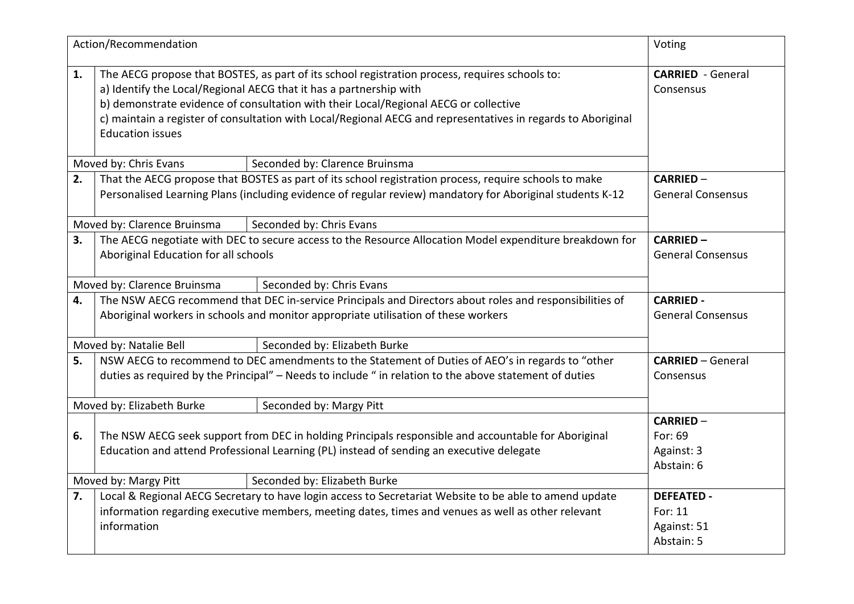|    | Action/Recommendation                                                                                                                                                                                                                                                                                                                                                                                   | Voting                                                    |  |
|----|---------------------------------------------------------------------------------------------------------------------------------------------------------------------------------------------------------------------------------------------------------------------------------------------------------------------------------------------------------------------------------------------------------|-----------------------------------------------------------|--|
| 1. | The AECG propose that BOSTES, as part of its school registration process, requires schools to:<br>a) Identify the Local/Regional AECG that it has a partnership with<br>b) demonstrate evidence of consultation with their Local/Regional AECG or collective<br>c) maintain a register of consultation with Local/Regional AECG and representatives in regards to Aboriginal<br><b>Education issues</b> | <b>CARRIED</b> - General<br>Consensus                     |  |
|    | Moved by: Chris Evans                                                                                                                                                                                                                                                                                                                                                                                   | Seconded by: Clarence Bruinsma                            |  |
| 2. | That the AECG propose that BOSTES as part of its school registration process, require schools to make<br>Personalised Learning Plans (including evidence of regular review) mandatory for Aboriginal students K-12                                                                                                                                                                                      | <b>CARRIED -</b><br><b>General Consensus</b>              |  |
|    | Moved by: Clarence Bruinsma                                                                                                                                                                                                                                                                                                                                                                             | Seconded by: Chris Evans                                  |  |
| 3. | The AECG negotiate with DEC to secure access to the Resource Allocation Model expenditure breakdown for<br>Aboriginal Education for all schools                                                                                                                                                                                                                                                         | <b>CARRIED-</b><br><b>General Consensus</b>               |  |
|    | Moved by: Clarence Bruinsma                                                                                                                                                                                                                                                                                                                                                                             | Seconded by: Chris Evans                                  |  |
| 4. | The NSW AECG recommend that DEC in-service Principals and Directors about roles and responsibilities of<br>Aboriginal workers in schools and monitor appropriate utilisation of these workers                                                                                                                                                                                                           | <b>CARRIED -</b><br><b>General Consensus</b>              |  |
|    | Moved by: Natalie Bell                                                                                                                                                                                                                                                                                                                                                                                  | Seconded by: Elizabeth Burke                              |  |
| 5. | NSW AECG to recommend to DEC amendments to the Statement of Duties of AEO's in regards to "other<br>duties as required by the Principal" - Needs to include " in relation to the above statement of duties                                                                                                                                                                                              | <b>CARRIED - General</b><br>Consensus                     |  |
|    | Moved by: Elizabeth Burke                                                                                                                                                                                                                                                                                                                                                                               | Seconded by: Margy Pitt                                   |  |
| 6. | The NSW AECG seek support from DEC in holding Principals responsible and accountable for Aboriginal<br>Education and attend Professional Learning (PL) instead of sending an executive delegate                                                                                                                                                                                                         | <b>CARRIED-</b><br>For: 69<br>Against: 3<br>Abstain: 6    |  |
|    | Moved by: Margy Pitt<br>Seconded by: Elizabeth Burke                                                                                                                                                                                                                                                                                                                                                    |                                                           |  |
| 7. | Local & Regional AECG Secretary to have login access to Secretariat Website to be able to amend update<br>information regarding executive members, meeting dates, times and venues as well as other relevant<br>information                                                                                                                                                                             | <b>DEFEATED -</b><br>For: 11<br>Against: 51<br>Abstain: 5 |  |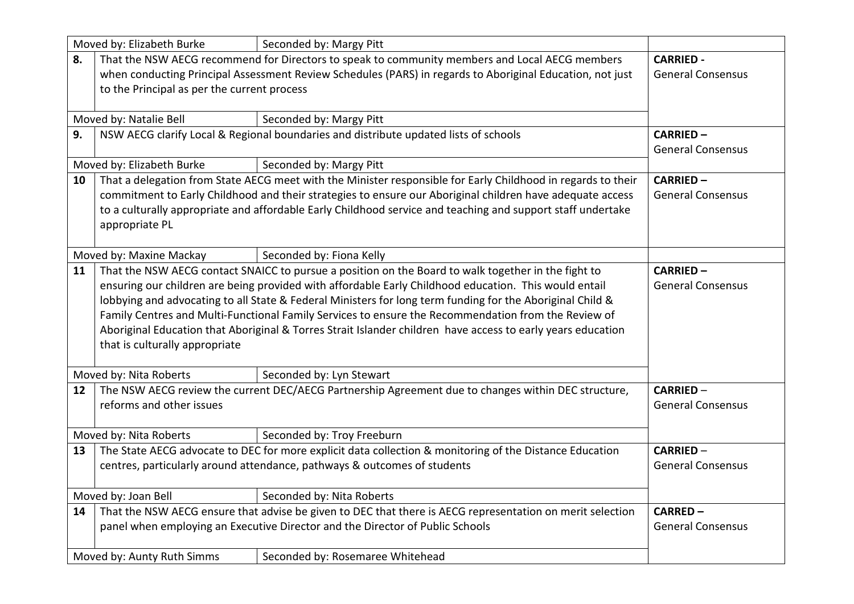| Moved by: Elizabeth Burke |                                                                                                                                                                                                                                                                                                                                                                                                                                                                                                                                                                                   | Seconded by: Margy Pitt                      |                                             |
|---------------------------|-----------------------------------------------------------------------------------------------------------------------------------------------------------------------------------------------------------------------------------------------------------------------------------------------------------------------------------------------------------------------------------------------------------------------------------------------------------------------------------------------------------------------------------------------------------------------------------|----------------------------------------------|---------------------------------------------|
| 8.                        | That the NSW AECG recommend for Directors to speak to community members and Local AECG members<br>when conducting Principal Assessment Review Schedules (PARS) in regards to Aboriginal Education, not just<br>to the Principal as per the current process                                                                                                                                                                                                                                                                                                                        | <b>CARRIED -</b><br><b>General Consensus</b> |                                             |
|                           | Moved by: Natalie Bell                                                                                                                                                                                                                                                                                                                                                                                                                                                                                                                                                            | Seconded by: Margy Pitt                      |                                             |
| 9.                        | NSW AECG clarify Local & Regional boundaries and distribute updated lists of schools                                                                                                                                                                                                                                                                                                                                                                                                                                                                                              |                                              | <b>CARRIED-</b><br><b>General Consensus</b> |
|                           | Moved by: Elizabeth Burke                                                                                                                                                                                                                                                                                                                                                                                                                                                                                                                                                         | Seconded by: Margy Pitt                      |                                             |
| 10                        | That a delegation from State AECG meet with the Minister responsible for Early Childhood in regards to their<br>commitment to Early Childhood and their strategies to ensure our Aboriginal children have adequate access<br>to a culturally appropriate and affordable Early Childhood service and teaching and support staff undertake<br>appropriate PL                                                                                                                                                                                                                        | <b>CARRIED-</b><br><b>General Consensus</b>  |                                             |
|                           | Moved by: Maxine Mackay                                                                                                                                                                                                                                                                                                                                                                                                                                                                                                                                                           | Seconded by: Fiona Kelly                     |                                             |
| 11                        | That the NSW AECG contact SNAICC to pursue a position on the Board to walk together in the fight to<br>ensuring our children are being provided with affordable Early Childhood education. This would entail<br>lobbying and advocating to all State & Federal Ministers for long term funding for the Aboriginal Child &<br>Family Centres and Multi-Functional Family Services to ensure the Recommendation from the Review of<br>Aboriginal Education that Aboriginal & Torres Strait Islander children have access to early years education<br>that is culturally appropriate | <b>CARRIED-</b><br><b>General Consensus</b>  |                                             |
|                           | Moved by: Nita Roberts                                                                                                                                                                                                                                                                                                                                                                                                                                                                                                                                                            | Seconded by: Lyn Stewart                     |                                             |
| 12                        | The NSW AECG review the current DEC/AECG Partnership Agreement due to changes within DEC structure,<br>reforms and other issues                                                                                                                                                                                                                                                                                                                                                                                                                                                   | <b>CARRIED -</b><br><b>General Consensus</b> |                                             |
|                           | Moved by: Nita Roberts                                                                                                                                                                                                                                                                                                                                                                                                                                                                                                                                                            | Seconded by: Troy Freeburn                   |                                             |
| 13                        | The State AECG advocate to DEC for more explicit data collection & monitoring of the Distance Education<br>centres, particularly around attendance, pathways & outcomes of students                                                                                                                                                                                                                                                                                                                                                                                               | <b>CARRIED -</b><br><b>General Consensus</b> |                                             |
|                           | Moved by: Joan Bell                                                                                                                                                                                                                                                                                                                                                                                                                                                                                                                                                               | Seconded by: Nita Roberts                    |                                             |
| 14                        | That the NSW AECG ensure that advise be given to DEC that there is AECG representation on merit selection<br>panel when employing an Executive Director and the Director of Public Schools                                                                                                                                                                                                                                                                                                                                                                                        | <b>CARRED-</b><br><b>General Consensus</b>   |                                             |
|                           | Moved by: Aunty Ruth Simms<br>Seconded by: Rosemaree Whitehead                                                                                                                                                                                                                                                                                                                                                                                                                                                                                                                    |                                              |                                             |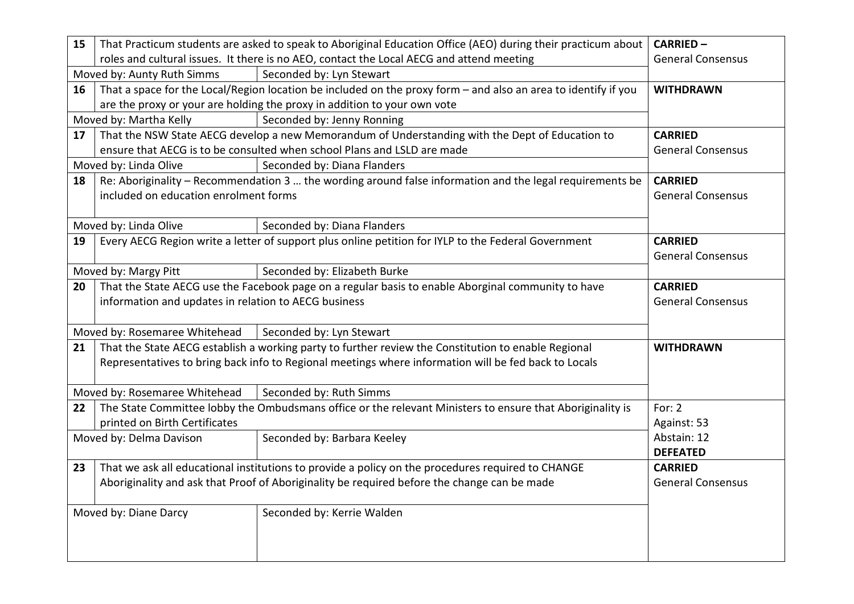| 15                    | That Practicum students are asked to speak to Aboriginal Education Office (AEO) during their practicum about   | <b>CARRIED-</b>                                                                                           |                          |
|-----------------------|----------------------------------------------------------------------------------------------------------------|-----------------------------------------------------------------------------------------------------------|--------------------------|
|                       | roles and cultural issues. It there is no AEO, contact the Local AECG and attend meeting                       | <b>General Consensus</b>                                                                                  |                          |
|                       | Moved by: Aunty Ruth Simms                                                                                     |                                                                                                           |                          |
| 16                    | That a space for the Local/Region location be included on the proxy form - and also an area to identify if you | <b>WITHDRAWN</b>                                                                                          |                          |
|                       | are the proxy or your are holding the proxy in addition to your own vote                                       |                                                                                                           |                          |
|                       | Moved by: Martha Kelly                                                                                         | Seconded by: Jenny Ronning                                                                                |                          |
| 17                    | That the NSW State AECG develop a new Memorandum of Understanding with the Dept of Education to                | <b>CARRIED</b>                                                                                            |                          |
|                       | ensure that AECG is to be consulted when school Plans and LSLD are made                                        | <b>General Consensus</b>                                                                                  |                          |
|                       | Moved by: Linda Olive                                                                                          |                                                                                                           |                          |
| 18                    | Re: Aboriginality - Recommendation 3  the wording around false information and the legal requirements be       | <b>CARRIED</b>                                                                                            |                          |
|                       | included on education enrolment forms                                                                          |                                                                                                           | <b>General Consensus</b> |
|                       |                                                                                                                |                                                                                                           |                          |
|                       | Moved by: Linda Olive                                                                                          | Seconded by: Diana Flanders                                                                               |                          |
| 19                    |                                                                                                                | Every AECG Region write a letter of support plus online petition for IYLP to the Federal Government       | <b>CARRIED</b>           |
|                       |                                                                                                                |                                                                                                           | <b>General Consensus</b> |
|                       | Moved by: Margy Pitt                                                                                           | Seconded by: Elizabeth Burke                                                                              |                          |
| 20                    |                                                                                                                | That the State AECG use the Facebook page on a regular basis to enable Aborginal community to have        | <b>CARRIED</b>           |
|                       | information and updates in relation to AECG business                                                           |                                                                                                           | <b>General Consensus</b> |
|                       |                                                                                                                |                                                                                                           |                          |
|                       | Moved by: Rosemaree Whitehead                                                                                  | Seconded by: Lyn Stewart                                                                                  |                          |
| 21                    |                                                                                                                | That the State AECG establish a working party to further review the Constitution to enable Regional       | <b>WITHDRAWN</b>         |
|                       |                                                                                                                | Representatives to bring back info to Regional meetings where information will be fed back to Locals      |                          |
|                       |                                                                                                                |                                                                                                           |                          |
|                       | Moved by: Rosemaree Whitehead                                                                                  | Seconded by: Ruth Simms                                                                                   |                          |
| 22                    |                                                                                                                | The State Committee lobby the Ombudsmans office or the relevant Ministers to ensure that Aboriginality is | For: $2$                 |
|                       | printed on Birth Certificates                                                                                  |                                                                                                           | Against: 53              |
|                       | Moved by: Delma Davison                                                                                        | Seconded by: Barbara Keeley                                                                               | Abstain: 12              |
|                       |                                                                                                                |                                                                                                           | <b>DEFEATED</b>          |
| 23                    |                                                                                                                | That we ask all educational institutions to provide a policy on the procedures required to CHANGE         | <b>CARRIED</b>           |
|                       |                                                                                                                | Aboriginality and ask that Proof of Aboriginality be required before the change can be made               | <b>General Consensus</b> |
|                       |                                                                                                                |                                                                                                           |                          |
| Moved by: Diane Darcy |                                                                                                                | Seconded by: Kerrie Walden                                                                                |                          |
|                       |                                                                                                                |                                                                                                           |                          |
|                       |                                                                                                                |                                                                                                           |                          |
|                       |                                                                                                                |                                                                                                           |                          |